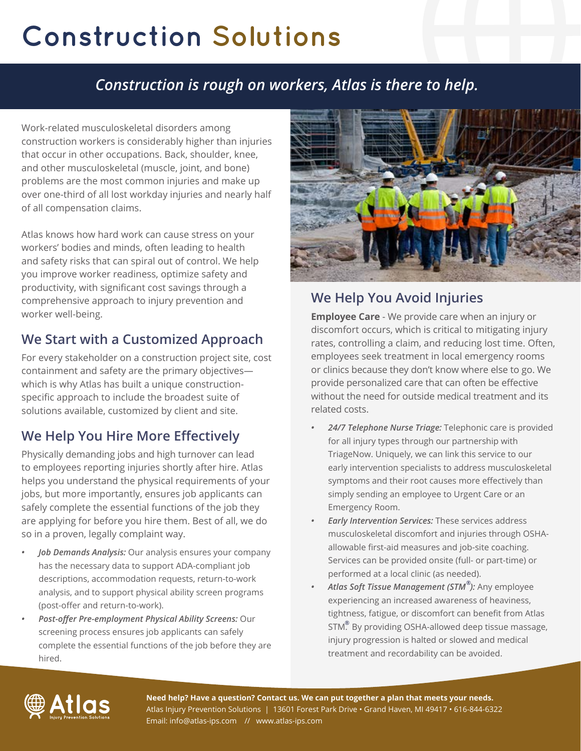# **Construction Solutions**

## *Construction is rough on workers, Atlas is there to help.*

Work-related musculoskeletal disorders among construction workers is considerably higher than injuries that occur in other occupations. Back, shoulder, knee, and other musculoskeletal (muscle, joint, and bone) problems are the most common injuries and make up over one-third of all lost workday injuries and nearly half of all compensation claims.

Atlas knows how hard work can cause stress on your workers' bodies and minds, often leading to health and safety risks that can spiral out of control. We help you improve worker readiness, optimize safety and productivity, with significant cost savings through a comprehensive approach to injury prevention and worker well-being.

#### **We Start with a Customized Approach**

For every stakeholder on a construction project site, cost containment and safety are the primary objectives which is why Atlas has built a unique constructionspecific approach to include the broadest suite of solutions available, customized by client and site.

### **We Help You Hire More Effectively**

Physically demanding jobs and high turnover can lead to employees reporting injuries shortly after hire. Atlas helps you understand the physical requirements of your jobs, but more importantly, ensures job applicants can safely complete the essential functions of the job they are applying for before you hire them. Best of all, we do so in a proven, legally complaint way.

- *• Job Demands Analysis:* Our analysis ensures your company has the necessary data to support ADA-compliant job descriptions, accommodation requests, return-to-work analysis, and to support physical ability screen programs (post-offer and return-to-work).
- *• Post-offer Pre-employment Physical Ability Screens:* Our screening process ensures job applicants can safely complete the essential functions of the job before they are hired.



### **We Help You Avoid Injuries**

**Employee Care** - We provide care when an injury or discomfort occurs, which is critical to mitigating injury rates, controlling a claim, and reducing lost time. Often, employees seek treatment in local emergency rooms or clinics because they don't know where else to go. We provide personalized care that can often be effective without the need for outside medical treatment and its related costs.

- *• 24/7 Telephone Nurse Triage:* Telephonic care is provided for all injury types through our partnership with TriageNow. Uniquely, we can link this service to our early intervention specialists to address musculoskeletal symptoms and their root causes more effectively than simply sending an employee to Urgent Care or an Emergency Room.
- *• Early Intervention Services:* These services address musculoskeletal discomfort and injuries through OSHAallowable first-aid measures and job-site coaching. Services can be provided onsite (full- or part-time) or performed at a local clinic (as needed).
- *• Atlas Soft Tissue Management (STM ):* Any employee **®** experiencing an increased awareness of heaviness, tightness, fatigue, or discomfort can benefit from Atlas STM. By providing OSHA-allowed deep tissue massage, **®**injury progression is halted or slowed and medical treatment and recordability can be avoided.



**Need help? Have a question? Contact us. We can put together a plan that meets your needs.** Atlas Injury Prevention Solutions | 13601 Forest Park Drive • Grand Haven, MI 49417 • 616-844-6322 Email: info@atlas-ips.com // www.atlas-ips.com